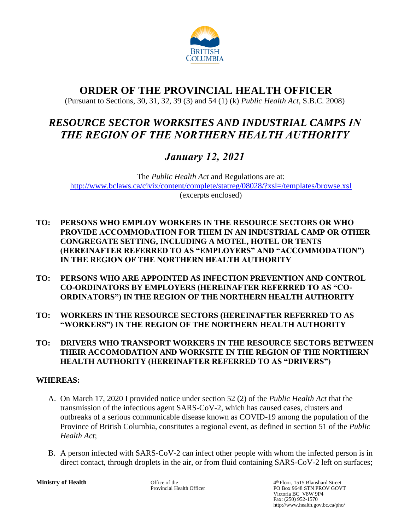

# **ORDER OF THE PROVINCIAL HEALTH OFFICER**

(Pursuant to Sections, 30, 31, 32, 39 (3) and 54 (1) (k) *Public Health Act*, S.B.C. 2008)

# *RESOURCE SECTOR WORKSITES AND INDUSTRIAL CAMPS IN THE REGION OF THE NORTHERN HEALTH AUTHORITY*

# *January 12, 2021*

The *Public Health Act* and Regulations are at: <http://www.bclaws.ca/civix/content/complete/statreg/08028/?xsl=/templates/browse.xsl> (excerpts enclosed)

- **TO: PERSONS WHO EMPLOY WORKERS IN THE RESOURCE SECTORS OR WHO PROVIDE ACCOMMODATION FOR THEM IN AN INDUSTRIAL CAMP OR OTHER CONGREGATE SETTING, INCLUDING A MOTEL, HOTEL OR TENTS (HEREINAFTER REFERRED TO AS "EMPLOYERS" AND "ACCOMMODATION") IN THE REGION OF THE NORTHERN HEALTH AUTHORITY**
- **TO: PERSONS WHO ARE APPOINTED AS INFECTION PREVENTION AND CONTROL CO-ORDINATORS BY EMPLOYERS (HEREINAFTER REFERRED TO AS "CO-ORDINATORS") IN THE REGION OF THE NORTHERN HEALTH AUTHORITY**
- **TO: WORKERS IN THE RESOURCE SECTORS (HEREINAFTER REFERRED TO AS "WORKERS") IN THE REGION OF THE NORTHERN HEALTH AUTHORITY**
- **TO: DRIVERS WHO TRANSPORT WORKERS IN THE RESOURCE SECTORS BETWEEN THEIR ACCOMODATION AND WORKSITE IN THE REGION OF THE NORTHERN HEALTH AUTHORITY (HEREINAFTER REFERRED TO AS "DRIVERS")**

# **WHEREAS:**

- A. On March 17, 2020 I provided notice under section 52 (2) of the *Public Health Act* that the transmission of the infectious agent SARS-CoV-2, which has caused cases, clusters and outbreaks of a serious communicable disease known as COVID-19 among the population of the Province of British Columbia, constitutes a regional event, as defined in section 51 of the *Public Health Act*;
- B. A person infected with SARS-CoV-2 can infect other people with whom the infected person is in direct contact, through droplets in the air, or from fluid containing SARS-CoV-2 left on surfaces;

**Ministry of Health** Office of the 4 Office of the 4 Officer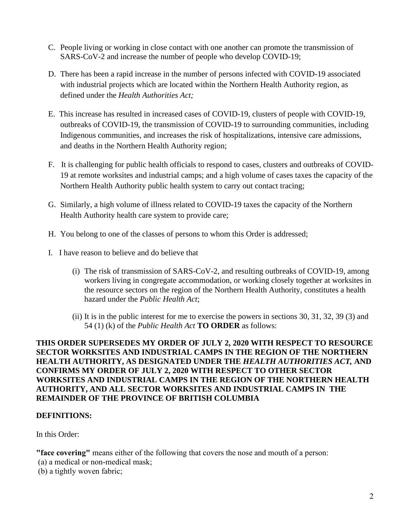- C. People living or working in close contact with one another can promote the transmission of SARS-CoV-2 and increase the number of people who develop COVID-19;
- D. There has been a rapid increase in the number of persons infected with COVID-19 associated with industrial projects which are located within the Northern Health Authority region, as defined under the *Health Authorities Act;*
- E. This increase has resulted in increased cases of COVID-19, clusters of people with COVID-19, outbreaks of COVID-19, the transmission of COVID-19 to surrounding communities, including Indigenous communities, and increases the risk of hospitalizations, intensive care admissions, and deaths in the Northern Health Authority region;
- F. It is challenging for public health officials to respond to cases, clusters and outbreaks of COVID-19 at remote worksites and industrial camps; and a high volume of cases taxes the capacity of the Northern Health Authority public health system to carry out contact tracing;
- G. Similarly, a high volume of illness related to COVID-19 taxes the capacity of the Northern Health Authority health care system to provide care;
- H. You belong to one of the classes of persons to whom this Order is addressed;
- I. I have reason to believe and do believe that
	- (i) The risk of transmission of SARS-CoV-2, and resulting outbreaks of COVID-19, among workers living in congregate accommodation, or working closely together at worksites in the resource sectors on the region of the Northern Health Authority, constitutes a health hazard under the *Public Health Act*;
	- (ii) It is in the public interest for me to exercise the powers in sections 30, 31, 32, 39 (3) and 54 (1) (k) of the *Public Health Act* **TO ORDER** as follows:

### **THIS ORDER SUPERSEDES MY ORDER OF JULY 2, 2020 WITH RESPECT TO RESOURCE SECTOR WORKSITES AND INDUSTRIAL CAMPS IN THE REGION OF THE NORTHERN HEALTH AUTHORITY, AS DESIGNATED UNDER THE** *HEALTH AUTHORITIES ACT,* **AND CONFIRMS MY ORDER OF JULY 2, 2020 WITH RESPECT TO OTHER SECTOR WORKSITES AND INDUSTRIAL CAMPS IN THE REGION OF THE NORTHERN HEALTH AUTHORITY, AND ALL SECTOR WORKSITES AND INDUSTRIAL CAMPS IN THE REMAINDER OF THE PROVINCE OF BRITISH COLUMBIA**

### **DEFINITIONS:**

In this Order:

**"face covering"** means either of the following that covers the nose and mouth of a person: (a) a medical or non-medical mask;

(b) a tightly woven fabric;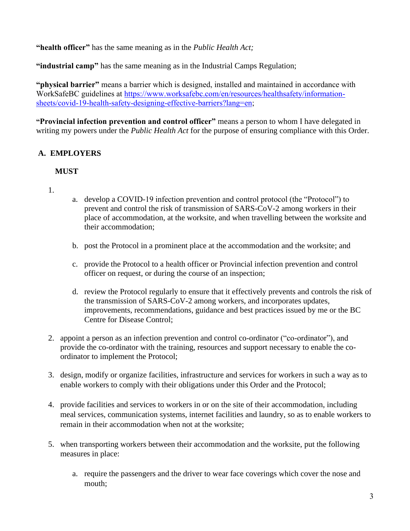**"health officer"** has the same meaning as in the *Public Health Act;*

**"industrial camp"** has the same meaning as in the Industrial Camps Regulation;

**"physical barrier"** means a barrier which is designed, installed and maintained in accordance with WorkSafeBC guidelines at [https://www.worksafebc.com/en/resources/healthsafety/information](https://www.worksafebc.com/en/resources/healthsafety/information-sheets/covid-19-health-safety-designing-effective-barriers?lang=en)[sheets/covid-19-health-safety-designing-effective-barriers?lang=en;](https://www.worksafebc.com/en/resources/healthsafety/information-sheets/covid-19-health-safety-designing-effective-barriers?lang=en)

**"Provincial infection prevention and control officer"** means a person to whom I have delegated in writing my powers under the *Public Health Act* for the purpose of ensuring compliance with this Order.

# **A. EMPLOYERS**

### **MUST**

- 1.
- a. develop a COVID-19 infection prevention and control protocol (the "Protocol") to prevent and control the risk of transmission of SARS-CoV-2 among workers in their place of accommodation, at the worksite, and when travelling between the worksite and their accommodation;
- b. post the Protocol in a prominent place at the accommodation and the worksite; and
- c. provide the Protocol to a health officer or Provincial infection prevention and control officer on request, or during the course of an inspection;
- d. review the Protocol regularly to ensure that it effectively prevents and controls the risk of the transmission of SARS-CoV-2 among workers, and incorporates updates, improvements, recommendations, guidance and best practices issued by me or the BC Centre for Disease Control;
- 2. appoint a person as an infection prevention and control co-ordinator ("co-ordinator"), and provide the co-ordinator with the training, resources and support necessary to enable the coordinator to implement the Protocol;
- 3. design, modify or organize facilities, infrastructure and services for workers in such a way as to enable workers to comply with their obligations under this Order and the Protocol;
- 4. provide facilities and services to workers in or on the site of their accommodation, including meal services, communication systems, internet facilities and laundry, so as to enable workers to remain in their accommodation when not at the worksite;
- 5. when transporting workers between their accommodation and the worksite, put the following measures in place:
	- a. require the passengers and the driver to wear face coverings which cover the nose and mouth;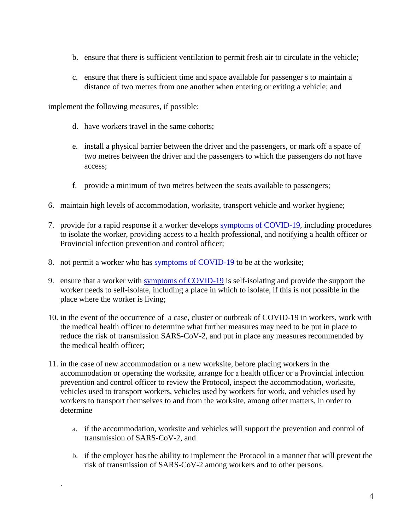- b. ensure that there is sufficient ventilation to permit fresh air to circulate in the vehicle;
- c. ensure that there is sufficient time and space available for passenger s to maintain a distance of two metres from one another when entering or exiting a vehicle; and

implement the following measures, if possible:

.

- d. have workers travel in the same cohorts;
- e. install a physical barrier between the driver and the passengers, or mark off a space of two metres between the driver and the passengers to which the passengers do not have access;
- f. provide a minimum of two metres between the seats available to passengers;
- 6. maintain high levels of accommodation, worksite, transport vehicle and worker hygiene;
- 7. provide for a rapid response if a worker develops [symptoms of COVID-19,](http://www.bccdc.ca/health-info/diseases-conditions/covid-19/testing/testing-information) including procedures to isolate the worker, providing access to a health professional, and notifying a health officer or Provincial infection prevention and control officer;
- 8. not permit a worker who has [symptoms of COVID-19](http://www.bccdc.ca/health-info/diseases-conditions/covid-19/testing/testing-information) to be at the worksite;
- 9. ensure that a worker with [symptoms of COVID-19](http://www.bccdc.ca/health-info/diseases-conditions/covid-19/testing/testing-information) is self-isolating and provide the support the worker needs to self-isolate, including a place in which to isolate, if this is not possible in the place where the worker is living;
- 10. in the event of the occurrence of a case, cluster or outbreak of COVID-19 in workers, work with the medical health officer to determine what further measures may need to be put in place to reduce the risk of transmission SARS-CoV-2, and put in place any measures recommended by the medical health officer;
- 11. in the case of new accommodation or a new worksite, before placing workers in the accommodation or operating the worksite, arrange for a health officer or a Provincial infection prevention and control officer to review the Protocol, inspect the accommodation, worksite, vehicles used to transport workers, vehicles used by workers for work, and vehicles used by workers to transport themselves to and from the worksite, among other matters, in order to determine
	- a. if the accommodation, worksite and vehicles will support the prevention and control of transmission of SARS-CoV-2, and
	- b. if the employer has the ability to implement the Protocol in a manner that will prevent the risk of transmission of SARS-CoV-2 among workers and to other persons.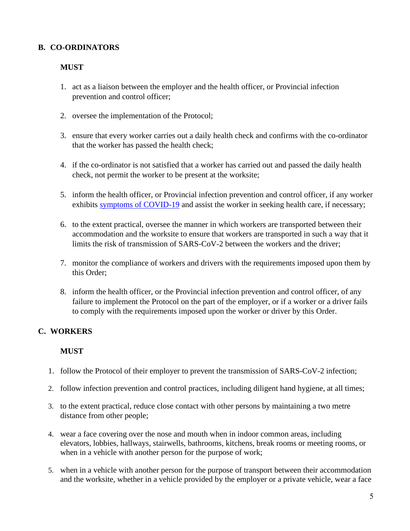# **B. CO-ORDINATORS**

### **MUST**

- 1. act as a liaison between the employer and the health officer, or Provincial infection prevention and control officer;
- 2. oversee the implementation of the Protocol;
- 3. ensure that every worker carries out a daily health check and confirms with the co-ordinator that the worker has passed the health check;
- 4. if the co-ordinator is not satisfied that a worker has carried out and passed the daily health check, not permit the worker to be present at the worksite;
- 5. inform the health officer, or Provincial infection prevention and control officer, if any worker exhibits [symptoms of COVID-19](http://www.bccdc.ca/health-info/diseases-conditions/covid-19/testing/testing-information) and assist the worker in seeking health care, if necessary;
- 6. to the extent practical, oversee the manner in which workers are transported between their accommodation and the worksite to ensure that workers are transported in such a way that it limits the risk of transmission of SARS-CoV-2 between the workers and the driver;
- 7. monitor the compliance of workers and drivers with the requirements imposed upon them by this Order;
- 8. inform the health officer, or the Provincial infection prevention and control officer, of any failure to implement the Protocol on the part of the employer, or if a worker or a driver fails to comply with the requirements imposed upon the worker or driver by this Order.

# **C. WORKERS**

### **MUST**

- 1. follow the Protocol of their employer to prevent the transmission of SARS-CoV-2 infection;
- 2. follow infection prevention and control practices, including diligent hand hygiene, at all times;
- 3. to the extent practical, reduce close contact with other persons by maintaining a two metre distance from other people;
- 4. wear a face covering over the nose and mouth when in indoor common areas, including elevators, lobbies, hallways, stairwells, bathrooms, kitchens, break rooms or meeting rooms, or when in a vehicle with another person for the purpose of work;
- 5. when in a vehicle with another person for the purpose of transport between their accommodation and the worksite, whether in a vehicle provided by the employer or a private vehicle, wear a face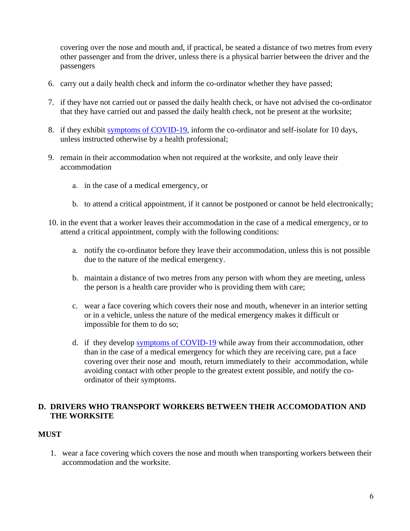covering over the nose and mouth and, if practical, be seated a distance of two metres from every other passenger and from the driver, unless there is a physical barrier between the driver and the passengers

- 6. carry out a daily health check and inform the co-ordinator whether they have passed;
- 7. if they have not carried out or passed the daily health check, or have not advised the co-ordinator that they have carried out and passed the daily health check, not be present at the worksite;
- 8. if they exhibit [symptoms of COVID-19,](http://www.bccdc.ca/health-info/diseases-conditions/covid-19/testing/testing-information) inform the co-ordinator and self-isolate for 10 days, unless instructed otherwise by a health professional;
- 9. remain in their accommodation when not required at the worksite, and only leave their accommodation
	- a. in the case of a medical emergency, or
	- b. to attend a critical appointment, if it cannot be postponed or cannot be held electronically;
- 10. in the event that a worker leaves their accommodation in the case of a medical emergency, or to attend a critical appointment, comply with the following conditions:
	- a. notify the co-ordinator before they leave their accommodation, unless this is not possible due to the nature of the medical emergency.
	- b. maintain a distance of two metres from any person with whom they are meeting, unless the person is a health care provider who is providing them with care;
	- c. wear a face covering which covers their nose and mouth, whenever in an interior setting or in a vehicle, unless the nature of the medical emergency makes it difficult or impossible for them to do so;
	- d. if they develop [symptoms of COVID-19](http://www.bccdc.ca/health-info/diseases-conditions/covid-19/testing/testing-information) while away from their accommodation, other than in the case of a medical emergency for which they are receiving care, put a face covering over their nose and mouth, return immediately to their accommodation, while avoiding contact with other people to the greatest extent possible, and notify the coordinator of their symptoms.

### **D. DRIVERS WHO TRANSPORT WORKERS BETWEEN THEIR ACCOMODATION AND THE WORKSITE**

### **MUST**

1. wear a face covering which covers the nose and mouth when transporting workers between their accommodation and the worksite.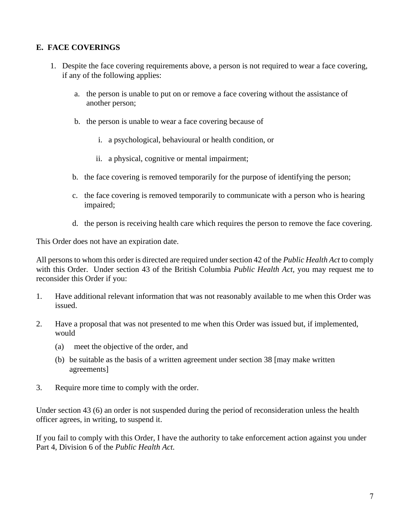# **E. FACE COVERINGS**

- 1. Despite the face covering requirements above, a person is not required to wear a face covering, if any of the following applies:
	- a. the person is unable to put on or remove a face covering without the assistance of another person;
	- b. the person is unable to wear a face covering because of
		- i. a psychological, behavioural or health condition, or
		- ii. a physical, cognitive or mental impairment;
	- b. the face covering is removed temporarily for the purpose of identifying the person;
	- c. the face covering is removed temporarily to communicate with a person who is hearing impaired;
	- d. the person is receiving health care which requires the person to remove the face covering.

This Order does not have an expiration date.

All persons to whom this order is directed are required under section 42 of the *Public Health Act* to comply with this Order. Under section 43 of the British Columbia *Public Health Act,* you may request me to reconsider this Order if you:

- 1. Have additional relevant information that was not reasonably available to me when this Order was issued.
- 2. Have a proposal that was not presented to me when this Order was issued but, if implemented, would
	- (a) meet the objective of the order, and
	- (b) be suitable as the basis of a written agreement under section 38 [may make written agreements]
- 3. Require more time to comply with the order.

Under section 43 (6) an order is not suspended during the period of reconsideration unless the health officer agrees, in writing, to suspend it.

If you fail to comply with this Order, I have the authority to take enforcement action against you under Part 4, Division 6 of the *Public Health Act.*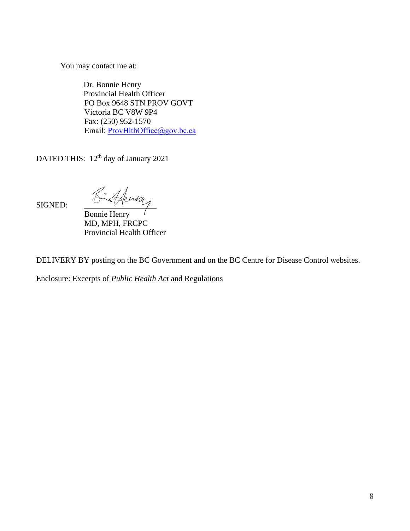You may contact me at:

Dr. Bonnie Henry Provincial Health Officer PO Box 9648 STN PROV GOVT Victoria BC V8W 9P4 Fax: (250) 952-1570 Email: [ProvHlthOffice@gov.bc.ca](mailto:ProvHlthOffice@gov.bc.ca)

DATED THIS: 12<sup>th</sup> day of January 2021

SIGNED:  $\frac{\mathcal{L}\cdot\mathcal{A}}{\mathcal{L}}$ 

Bonnie Henry MD, MPH, FRCPC Provincial Health Officer

DELIVERY BY posting on the BC Government and on the BC Centre for Disease Control websites.

Enclosure: Excerpts of *Public Health Act* and Regulations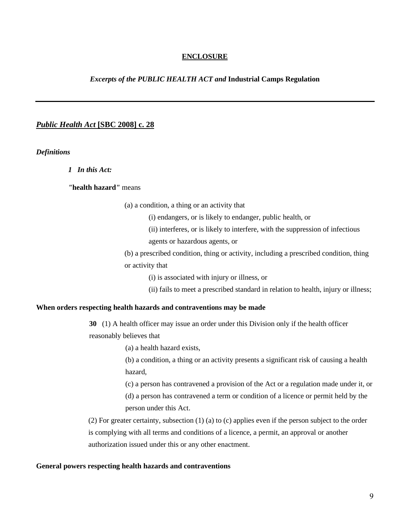#### **ENCLOSURE**

#### *Excerpts of the PUBLIC HEALTH ACT and* **Industrial Camps Regulation**

#### *Public Health Act* **[SBC 2008] c. 28**

*Definitions*

*1 In this Act:*

*"***health hazard***"* means

(a) a condition, a thing or an activity that

(i) endangers, or is likely to endanger, public health, or

(ii) interferes, or is likely to interfere, with the suppression of infectious

agents or hazardous agents, or

(b) a prescribed condition, thing or activity, including a prescribed condition, thing or activity that

(i) is associated with injury or illness, or

(ii) fails to meet a prescribed standard in relation to health, injury or illness;

#### **When orders respecting health hazards and contraventions may be made**

**30** (1) A health officer may issue an order under this Division only if the health officer

reasonably believes that

(a) a health hazard exists,

(b) a condition, a thing or an activity presents a significant risk of causing a health hazard,

(c) a person has contravened a provision of the Act or a regulation made under it, or

(d) a person has contravened a term or condition of a licence or permit held by the person under this Act.

(2) For greater certainty, subsection (1) (a) to (c) applies even if the person subject to the order is complying with all terms and conditions of a licence, a permit, an approval or another authorization issued under this or any other enactment.

#### **General powers respecting health hazards and contraventions**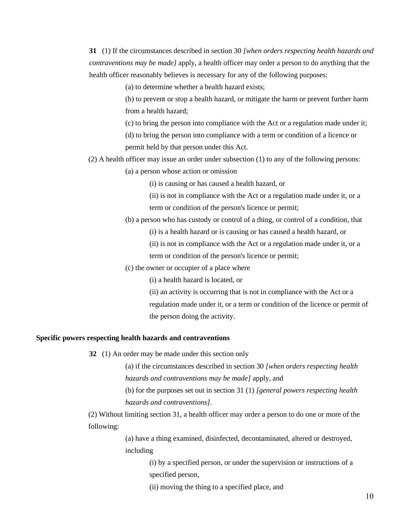**31** (1) If the circumstances described in section 30 *[when orders respecting health hazards and contraventions may be made]* apply, a health officer may order a person to do anything that the health officer reasonably believes is necessary for any of the following purposes:

(a) to determine whether a health hazard exists;

(b) to prevent or stop a health hazard, or mitigate the harm or prevent further harm from a health hazard;

(c) to bring the person into compliance with the Act or a regulation made under it;

(d) to bring the person into compliance with a term or condition of a licence or permit held by that person under this Act.

(2) A health officer may issue an order under subsection (1) to any of the following persons:

(a) a person whose action or omission

(i) is causing or has caused a health hazard, or

(ii) is not in compliance with the Act or a regulation made under it, or a term or condition of the person's licence or permit;

(b) a person who has custody or control of a thing, or control of a condition, that

(i) is a health hazard or is causing or has caused a health hazard, or

(ii) is not in compliance with the Act or a regulation made under it, or a

term or condition of the person's licence or permit;

(c) the owner or occupier of a place where

(i) a health hazard is located, or

(ii) an activity is occurring that is not in compliance with the Act or a regulation made under it, or a term or condition of the licence or permit of the person doing the activity.

#### **Specific powers respecting health hazards and contraventions**

**32** (1) An order may be made under this section only

(a) if the circumstances described in section 30 *[when orders respecting health hazards and contraventions may be made]* apply, and

(b) for the purposes set out in section 31 (1) *[general powers respecting health hazards and contraventions]*.

(2) Without limiting section 31, a health officer may order a person to do one or more of the following:

> (a) have a thing examined, disinfected, decontaminated, altered or destroyed, including

> > (i) by a specified person, or under the supervision or instructions of a specified person,

(ii) moving the thing to a specified place, and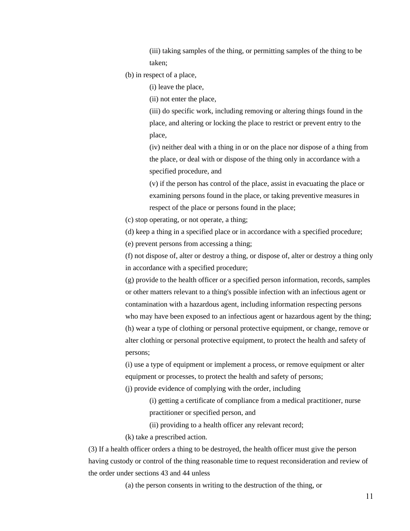(iii) taking samples of the thing, or permitting samples of the thing to be taken;

(b) in respect of a place,

(i) leave the place,

(ii) not enter the place,

(iii) do specific work, including removing or altering things found in the place, and altering or locking the place to restrict or prevent entry to the place,

(iv) neither deal with a thing in or on the place nor dispose of a thing from the place, or deal with or dispose of the thing only in accordance with a specified procedure, and

(v) if the person has control of the place, assist in evacuating the place or examining persons found in the place, or taking preventive measures in respect of the place or persons found in the place;

(c) stop operating, or not operate, a thing;

(d) keep a thing in a specified place or in accordance with a specified procedure;

(e) prevent persons from accessing a thing;

(f) not dispose of, alter or destroy a thing, or dispose of, alter or destroy a thing only in accordance with a specified procedure;

(g) provide to the health officer or a specified person information, records, samples or other matters relevant to a thing's possible infection with an infectious agent or contamination with a hazardous agent, including information respecting persons who may have been exposed to an infectious agent or hazardous agent by the thing; (h) wear a type of clothing or personal protective equipment, or change, remove or alter clothing or personal protective equipment, to protect the health and safety of persons;

(i) use a type of equipment or implement a process, or remove equipment or alter equipment or processes, to protect the health and safety of persons;

(j) provide evidence of complying with the order, including

(i) getting a certificate of compliance from a medical practitioner, nurse practitioner or specified person, and

(ii) providing to a health officer any relevant record;

(k) take a prescribed action.

(3) If a health officer orders a thing to be destroyed, the health officer must give the person having custody or control of the thing reasonable time to request reconsideration and review of the order under sections 43 and 44 unless

(a) the person consents in writing to the destruction of the thing, or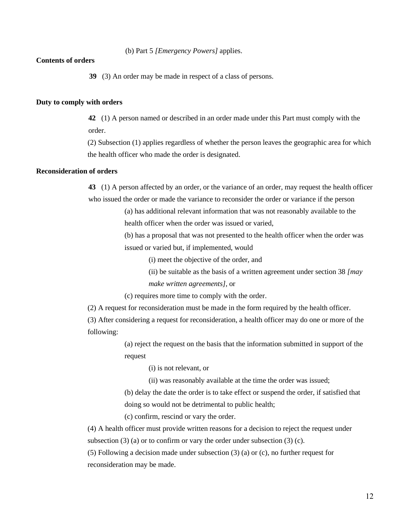(b) Part 5 *[Emergency Powers]* applies.

#### **Contents of orders**

**39** (3) An order may be made in respect of a class of persons.

#### **Duty to comply with orders**

**42** (1) A person named or described in an order made under this Part must comply with the order.

(2) Subsection (1) applies regardless of whether the person leaves the geographic area for which the health officer who made the order is designated.

#### **Reconsideration of orders**

**43** (1) A person affected by an order, or the variance of an order, may request the health officer who issued the order or made the variance to reconsider the order or variance if the person

> (a) has additional relevant information that was not reasonably available to the health officer when the order was issued or varied,

(b) has a proposal that was not presented to the health officer when the order was issued or varied but, if implemented, would

(i) meet the objective of the order, and

(ii) be suitable as the basis of a written agreement under section 38 *[may make written agreements]*, or

(c) requires more time to comply with the order.

(2) A request for reconsideration must be made in the form required by the health officer.

(3) After considering a request for reconsideration, a health officer may do one or more of the following:

> (a) reject the request on the basis that the information submitted in support of the request

> > (i) is not relevant, or

(ii) was reasonably available at the time the order was issued;

(b) delay the date the order is to take effect or suspend the order, if satisfied that doing so would not be detrimental to public health;

(c) confirm, rescind or vary the order.

(4) A health officer must provide written reasons for a decision to reject the request under subsection  $(3)$  (a) or to confirm or vary the order under subsection  $(3)$  (c).

(5) Following a decision made under subsection (3) (a) or (c), no further request for reconsideration may be made.